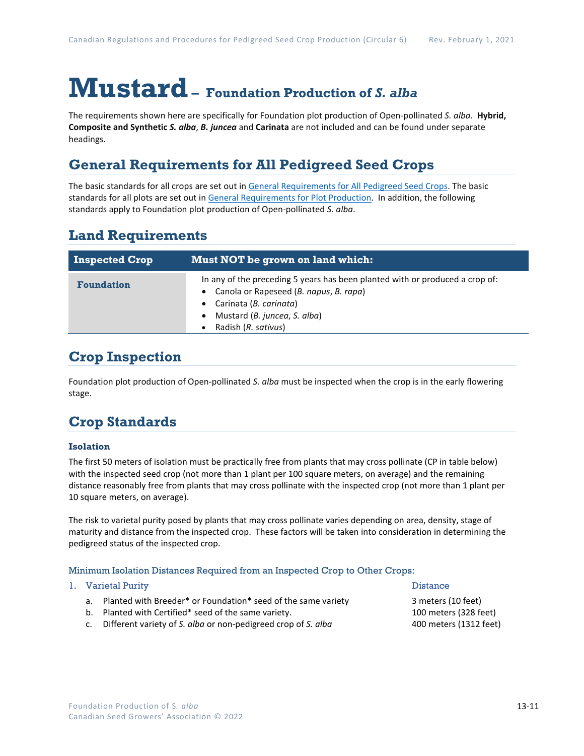# **Mustard– Foundation Production of** *S. alba*

The requirements shown here are specifically for Foundation plot production of Open-pollinated *S. alba.* **Hybrid, Composite and Synthetic** *S. alba*, *B. juncea* and **Carinata** are not included and can be found under separate headings.

## **General Requirements for All Pedigreed Seed Crops**

The basic standards for all crops are set out i[n General Requirements for All Pedigreed Seed](https://seedgrowers.ca/wp-content/uploads/2020/01/GENERAL-REQUIREMENTS-ALL-CROPS_EN.pdf) Crops. The basic standards for all plots are set out i[n General Requirements for Plot Production.](https://seedgrowers.ca/wp-content/uploads/2020/01/GENERAL-REQUIREMENTS-PLOTS_EN.pdf) In addition, the following standards apply to Foundation plot production of Open-pollinated *S. alba*.

## **Land Requirements**

| <b>Inspected Crop</b> | Must NOT be grown on land which:                                                                                                                                                                        |  |  |
|-----------------------|---------------------------------------------------------------------------------------------------------------------------------------------------------------------------------------------------------|--|--|
| <b>Foundation</b>     | In any of the preceding 5 years has been planted with or produced a crop of:<br>Canola or Rapeseed (B. napus, B. rapa)<br>Carinata (B. carinata)<br>Mustard (B. juncea, S. alba)<br>Radish (R. sativus) |  |  |

### **Crop Inspection**

Foundation plot production of Open-pollinated *S. alba* must be inspected when the crop is in the early flowering stage.

## **Crop Standards**

#### **Isolation**

The first 50 meters of isolation must be practically free from plants that may cross pollinate (CP in table below) with the inspected seed crop (not more than 1 plant per 100 square meters, on average) and the remaining distance reasonably free from plants that may cross pollinate with the inspected crop (not more than 1 plant per 10 square meters, on average).

The risk to varietal purity posed by plants that may cross pollinate varies depending on area, density, stage of maturity and distance from the inspected crop. These factors will be taken into consideration in determining the pedigreed status of the inspected crop.

#### Minimum Isolation Distances Required from an Inspected Crop to Other Crops:

|  | 1. Varietal Purity                                               | <b>Distance</b>        |  |
|--|------------------------------------------------------------------|------------------------|--|
|  | a. Planted with Breeder* or Foundation* seed of the same variety | 3 meters (10 feet)     |  |
|  | b. Planted with Certified* seed of the same variety.             | 100 meters (328 feet)  |  |
|  | c. Different variety of S. alba or non-pedigreed crop of S. alba | 400 meters (1312 feet) |  |
|  |                                                                  |                        |  |